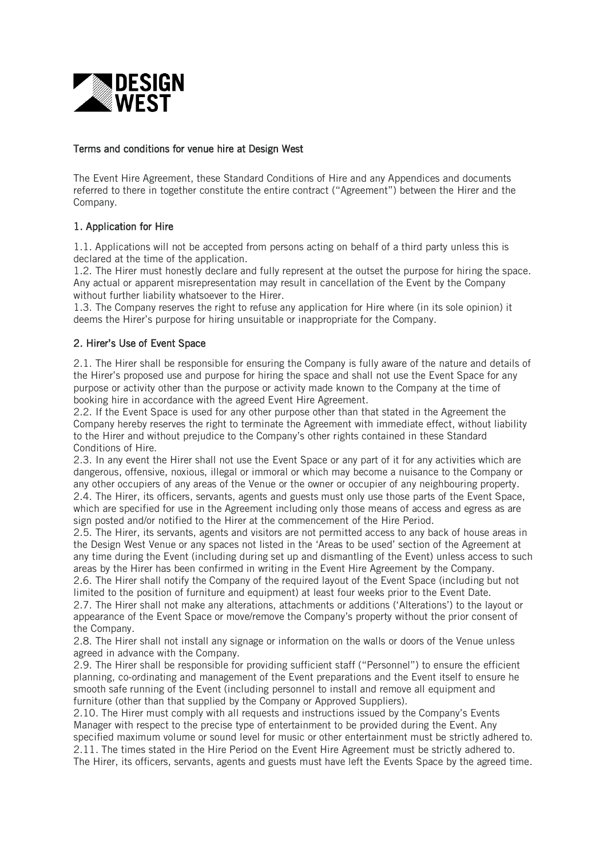

### Terms and conditions for venue hire at Design West

The Event Hire Agreement, these Standard Conditions of Hire and any Appendices and documents referred to there in together constitute the entire contract ("Agreement") between the Hirer and the Company.

### 1. Application for Hire

1.1. Applications will not be accepted from persons acting on behalf of a third party unless this is declared at the time of the application.

1.2. The Hirer must honestly declare and fully represent at the outset the purpose for hiring the space. Any actual or apparent misrepresentation may result in cancellation of the Event by the Company without further liability whatsoever to the Hirer.

1.3. The Company reserves the right to refuse any application for Hire where (in its sole opinion) it deems the Hirer's purpose for hiring unsuitable or inappropriate for the Company.

### 2. Hirer's Use of Event Space

2.1. The Hirer shall be responsible for ensuring the Company is fully aware of the nature and details of the Hirer's proposed use and purpose for hiring the space and shall not use the Event Space for any purpose or activity other than the purpose or activity made known to the Company at the time of booking hire in accordance with the agreed Event Hire Agreement.

2.2. If the Event Space is used for any other purpose other than that stated in the Agreement the Company hereby reserves the right to terminate the Agreement with immediate effect, without liability to the Hirer and without prejudice to the Company's other rights contained in these Standard Conditions of Hire.

2.3. In any event the Hirer shall not use the Event Space or any part of it for any activities which are dangerous, offensive, noxious, illegal or immoral or which may become a nuisance to the Company or any other occupiers of any areas of the Venue or the owner or occupier of any neighbouring property. 2.4. The Hirer, its officers, servants, agents and guests must only use those parts of the Event Space, which are specified for use in the Agreement including only those means of access and egress as are sign posted and/or notified to the Hirer at the commencement of the Hire Period.

2.5. The Hirer, its servants, agents and visitors are not permitted access to any back of house areas in the Design West Venue or any spaces not listed in the 'Areas to be used' section of the Agreement at any time during the Event (including during set up and dismantling of the Event) unless access to such areas by the Hirer has been confirmed in writing in the Event Hire Agreement by the Company.

2.6. The Hirer shall notify the Company of the required layout of the Event Space (including but not limited to the position of furniture and equipment) at least four weeks prior to the Event Date.

2.7. The Hirer shall not make any alterations, attachments or additions ('Alterations') to the layout or appearance of the Event Space or move/remove the Company's property without the prior consent of the Company.

2.8. The Hirer shall not install any signage or information on the walls or doors of the Venue unless agreed in advance with the Company.

2.9. The Hirer shall be responsible for providing sufficient staff ("Personnel") to ensure the efficient planning, co-ordinating and management of the Event preparations and the Event itself to ensure he smooth safe running of the Event (including personnel to install and remove all equipment and furniture (other than that supplied by the Company or Approved Suppliers).

2.10. The Hirer must comply with all requests and instructions issued by the Company's Events Manager with respect to the precise type of entertainment to be provided during the Event. Any specified maximum volume or sound level for music or other entertainment must be strictly adhered to. 2.11. The times stated in the Hire Period on the Event Hire Agreement must be strictly adhered to. The Hirer, its officers, servants, agents and guests must have left the Events Space by the agreed time.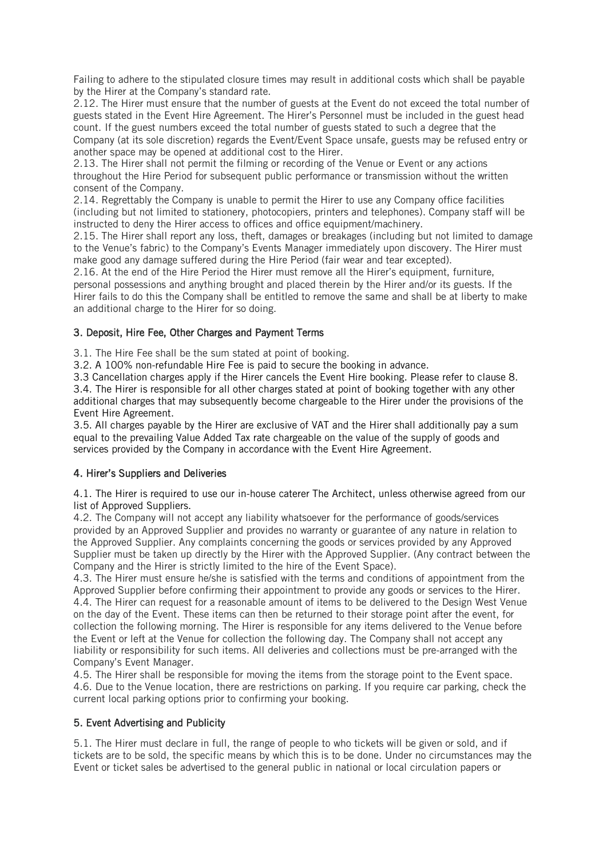Failing to adhere to the stipulated closure times may result in additional costs which shall be payable by the Hirer at the Company's standard rate.

2.12. The Hirer must ensure that the number of guests at the Event do not exceed the total number of guests stated in the Event Hire Agreement. The Hirer's Personnel must be included in the guest head count. If the guest numbers exceed the total number of guests stated to such a degree that the Company (at its sole discretion) regards the Event/Event Space unsafe, guests may be refused entry or another space may be opened at additional cost to the Hirer.

2.13. The Hirer shall not permit the filming or recording of the Venue or Event or any actions throughout the Hire Period for subsequent public performance or transmission without the written consent of the Company.

2.14. Regrettably the Company is unable to permit the Hirer to use any Company office facilities (including but not limited to stationery, photocopiers, printers and telephones). Company staff will be instructed to deny the Hirer access to offices and office equipment/machinery.

2.15. The Hirer shall report any loss, theft, damages or breakages (including but not limited to damage to the Venue's fabric) to the Company's Events Manager immediately upon discovery. The Hirer must make good any damage suffered during the Hire Period (fair wear and tear excepted).

2.16. At the end of the Hire Period the Hirer must remove all the Hirer's equipment, furniture, personal possessions and anything brought and placed therein by the Hirer and/or its guests. If the Hirer fails to do this the Company shall be entitled to remove the same and shall be at liberty to make an additional charge to the Hirer for so doing.

## 3. Deposit, Hire Fee, Other Charges and Payment Terms

3.1. The Hire Fee shall be the sum stated at point of booking.

3.2. A 100% non-refundable Hire Fee is paid to secure the booking in advance.

3.3 Cancellation charges apply if the Hirer cancels the Event Hire booking. Please refer to clause 8. 3.4. The Hirer is responsible for all other charges stated at point of booking together with any other additional charges that may subsequently become chargeable to the Hirer under the provisions of the Event Hire Agreement.

3.5. All charges payable by the Hirer are exclusive of VAT and the Hirer shall additionally pay a sum equal to the prevailing Value Added Tax rate chargeable on the value of the supply of goods and services provided by the Company in accordance with the Event Hire Agreement.

## 4. Hirer's Suppliers and Deliveries

4.1. The Hirer is required to use our in-house caterer The Architect, unless otherwise agreed from our list of Approved Suppliers.

4.2. The Company will not accept any liability whatsoever for the performance of goods/services provided by an Approved Supplier and provides no warranty or guarantee of any nature in relation to the Approved Supplier. Any complaints concerning the goods or services provided by any Approved Supplier must be taken up directly by the Hirer with the Approved Supplier. (Any contract between the Company and the Hirer is strictly limited to the hire of the Event Space).

4.3. The Hirer must ensure he/she is satisfied with the terms and conditions of appointment from the Approved Supplier before confirming their appointment to provide any goods or services to the Hirer. 4.4. The Hirer can request for a reasonable amount of items to be delivered to the Design West Venue on the day of the Event. These items can then be returned to their storage point after the event, for collection the following morning. The Hirer is responsible for any items delivered to the Venue before the Event or left at the Venue for collection the following day. The Company shall not accept any liability or responsibility for such items. All deliveries and collections must be pre-arranged with the Company's Event Manager.

4.5. The Hirer shall be responsible for moving the items from the storage point to the Event space. 4.6. Due to the Venue location, there are restrictions on parking. If you require car parking, check the current local parking options prior to confirming your booking.

## 5. Event Advertising and Publicity

5.1. The Hirer must declare in full, the range of people to who tickets will be given or sold, and if tickets are to be sold, the specific means by which this is to be done. Under no circumstances may the Event or ticket sales be advertised to the general public in national or local circulation papers or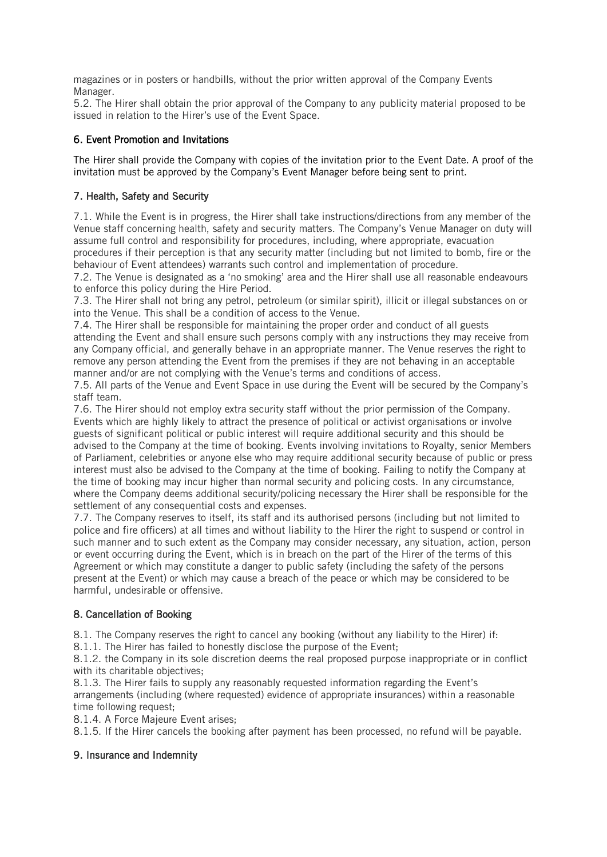magazines or in posters or handbills, without the prior written approval of the Company Events Manager.

5.2. The Hirer shall obtain the prior approval of the Company to any publicity material proposed to be issued in relation to the Hirer's use of the Event Space.

## 6. Event Promotion and Invitations

The Hirer shall provide the Company with copies of the invitation prior to the Event Date. A proof of the invitation must be approved by the Company's Event Manager before being sent to print.

### 7. Health, Safety and Security

7.1. While the Event is in progress, the Hirer shall take instructions/directions from any member of the Venue staff concerning health, safety and security matters. The Company's Venue Manager on duty will assume full control and responsibility for procedures, including, where appropriate, evacuation procedures if their perception is that any security matter (including but not limited to bomb, fire or the behaviour of Event attendees) warrants such control and implementation of procedure.

7.2. The Venue is designated as a 'no smoking' area and the Hirer shall use all reasonable endeavours to enforce this policy during the Hire Period.

7.3. The Hirer shall not bring any petrol, petroleum (or similar spirit), illicit or illegal substances on or into the Venue. This shall be a condition of access to the Venue.

7.4. The Hirer shall be responsible for maintaining the proper order and conduct of all guests attending the Event and shall ensure such persons comply with any instructions they may receive from any Company official, and generally behave in an appropriate manner. The Venue reserves the right to remove any person attending the Event from the premises if they are not behaving in an acceptable manner and/or are not complying with the Venue's terms and conditions of access.

7.5. All parts of the Venue and Event Space in use during the Event will be secured by the Company's staff team.

7.6. The Hirer should not employ extra security staff without the prior permission of the Company. Events which are highly likely to attract the presence of political or activist organisations or involve guests of significant political or public interest will require additional security and this should be advised to the Company at the time of booking. Events involving invitations to Royalty, senior Members of Parliament, celebrities or anyone else who may require additional security because of public or press interest must also be advised to the Company at the time of booking. Failing to notify the Company at the time of booking may incur higher than normal security and policing costs. In any circumstance, where the Company deems additional security/policing necessary the Hirer shall be responsible for the settlement of any consequential costs and expenses.

7.7. The Company reserves to itself, its staff and its authorised persons (including but not limited to police and fire officers) at all times and without liability to the Hirer the right to suspend or control in such manner and to such extent as the Company may consider necessary, any situation, action, person or event occurring during the Event, which is in breach on the part of the Hirer of the terms of this Agreement or which may constitute a danger to public safety (including the safety of the persons present at the Event) or which may cause a breach of the peace or which may be considered to be harmful, undesirable or offensive.

## 8. Cancellation of Booking

8.1. The Company reserves the right to cancel any booking (without any liability to the Hirer) if:

8.1.1. The Hirer has failed to honestly disclose the purpose of the Event;

8.1.2. the Company in its sole discretion deems the real proposed purpose inappropriate or in conflict with its charitable objectives;

8.1.3. The Hirer fails to supply any reasonably requested information regarding the Event's arrangements (including (where requested) evidence of appropriate insurances) within a reasonable time following request;

8.1.4. A Force Majeure Event arises;

8.1.5. If the Hirer cancels the booking after payment has been processed, no refund will be payable.

### 9. Insurance and Indemnity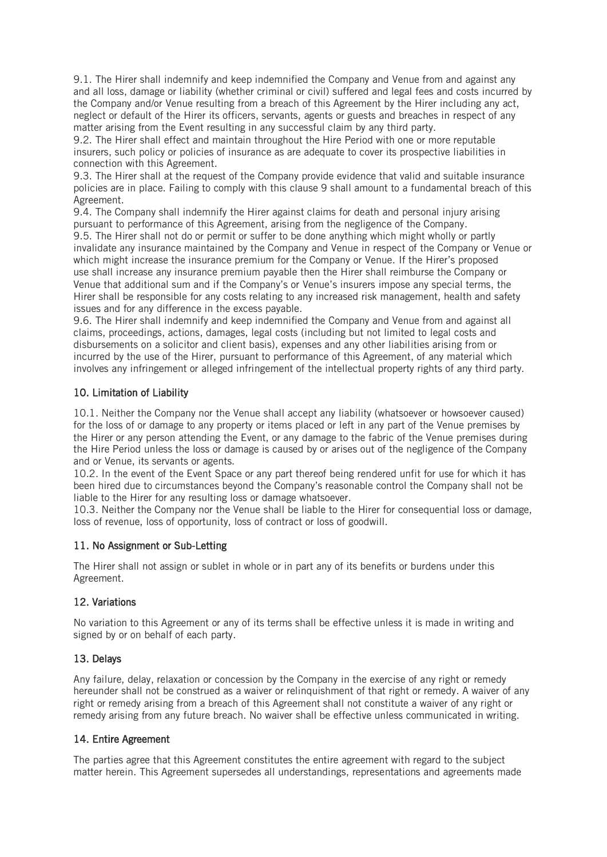9.1. The Hirer shall indemnify and keep indemnified the Company and Venue from and against any and all loss, damage or liability (whether criminal or civil) suffered and legal fees and costs incurred by the Company and/or Venue resulting from a breach of this Agreement by the Hirer including any act, neglect or default of the Hirer its officers, servants, agents or guests and breaches in respect of any matter arising from the Event resulting in any successful claim by any third party.

9.2. The Hirer shall effect and maintain throughout the Hire Period with one or more reputable insurers, such policy or policies of insurance as are adequate to cover its prospective liabilities in connection with this Agreement.

9.3. The Hirer shall at the request of the Company provide evidence that valid and suitable insurance policies are in place. Failing to comply with this clause 9 shall amount to a fundamental breach of this Agreement.

9.4. The Company shall indemnify the Hirer against claims for death and personal injury arising pursuant to performance of this Agreement, arising from the negligence of the Company.

9.5. The Hirer shall not do or permit or suffer to be done anything which might wholly or partly invalidate any insurance maintained by the Company and Venue in respect of the Company or Venue or which might increase the insurance premium for the Company or Venue. If the Hirer's proposed use shall increase any insurance premium payable then the Hirer shall reimburse the Company or Venue that additional sum and if the Company's or Venue's insurers impose any special terms, the Hirer shall be responsible for any costs relating to any increased risk management, health and safety issues and for any difference in the excess payable.

9.6. The Hirer shall indemnify and keep indemnified the Company and Venue from and against all claims, proceedings, actions, damages, legal costs (including but not limited to legal costs and disbursements on a solicitor and client basis), expenses and any other liabilities arising from or incurred by the use of the Hirer, pursuant to performance of this Agreement, of any material which involves any infringement or alleged infringement of the intellectual property rights of any third party.

### 10. Limitation of Liability

10.1. Neither the Company nor the Venue shall accept any liability (whatsoever or howsoever caused) for the loss of or damage to any property or items placed or left in any part of the Venue premises by the Hirer or any person attending the Event, or any damage to the fabric of the Venue premises during the Hire Period unless the loss or damage is caused by or arises out of the negligence of the Company and or Venue, its servants or agents.

10.2. In the event of the Event Space or any part thereof being rendered unfit for use for which it has been hired due to circumstances beyond the Company's reasonable control the Company shall not be liable to the Hirer for any resulting loss or damage whatsoever.

10.3. Neither the Company nor the Venue shall be liable to the Hirer for consequential loss or damage, loss of revenue, loss of opportunity, loss of contract or loss of goodwill.

### 11. No Assignment or Sub-Letting

The Hirer shall not assign or sublet in whole or in part any of its benefits or burdens under this Agreement.

### 12. Variations

No variation to this Agreement or any of its terms shall be effective unless it is made in writing and signed by or on behalf of each party.

### 13. Delays

Any failure, delay, relaxation or concession by the Company in the exercise of any right or remedy hereunder shall not be construed as a waiver or relinguishment of that right or remedy. A waiver of any right or remedy arising from a breach of this Agreement shall not constitute a waiver of any right or remedy arising from any future breach. No waiver shall be effective unless communicated in writing.

### 14. Entire Agreement

The parties agree that this Agreement constitutes the entire agreement with regard to the subject matter herein. This Agreement supersedes all understandings, representations and agreements made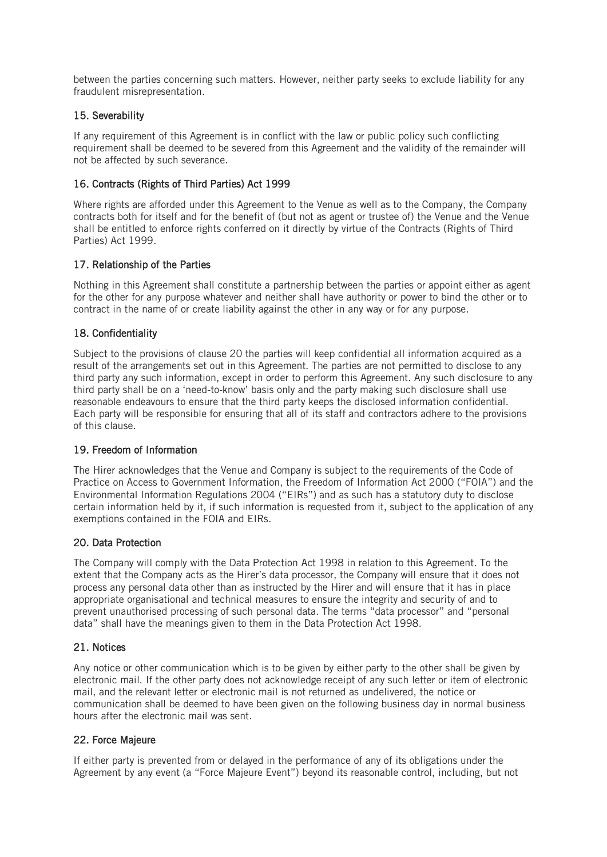between the parties concerning such matters. However, neither party seeks to exclude liability for any fraudulent misrepresentation.

# 15. Severability

If any requirement of this Agreement is in conflict with the law or public policy such conflicting requirement shall be deemed to be severed from this Agreement and the validity of the remainder will not be affected by such severance.

## 16. Contracts (Rights of Third Parties) Act 1999

Where rights are afforded under this Agreement to the Venue as well as to the Company, the Company contracts both for itself and for the benefit of (but not as agent or trustee of) the Venue and the Venue shall be entitled to enforce rights conferred on it directly by virtue of the Contracts (Rights of Third Parties) Act 1999.

## 17. Relationship of the Parties

Nothing in this Agreement shall constitute a partnership between the parties or appoint either as agent for the other for any purpose whatever and neither shall have authority or power to bind the other or to contract in the name of or create liability against the other in any way or for any purpose.

### 18. Confidentiality

Subject to the provisions of clause 20 the parties will keep confidential all information acquired as a result of the arrangements set out in this Agreement. The parties are not permitted to disclose to any third party any such information, except in order to perform this Agreement. Any such disclosure to any third party shall be on a 'need-to-know' basis only and the party making such disclosure shall use reasonable endeavours to ensure that the third party keeps the disclosed information confidential. Each party will be responsible for ensuring that all of its staff and contractors adhere to the provisions of this clause.

### 19. Freedom of Information

The Hirer acknowledges that the Venue and Company is subject to the requirements of the Code of Practice on Access to Government Information, the Freedom of Information Act 2000 ("FOIA") and the Environmental Information Regulations 2004 ("EIRs") and as such has a statutory duty to disclose certain information held by it, if such information is requested from it, subject to the application of any exemptions contained in the FOIA and EIRs.

### 20. Data Protection

The Company will comply with the Data Protection Act 1998 in relation to this Agreement. To the extent that the Company acts as the Hirer's data processor, the Company will ensure that it does not process any personal data other than as instructed by the Hirer and will ensure that it has in place appropriate organisational and technical measures to ensure the integrity and security of and to prevent unauthorised processing of such personal data. The terms "data processor" and "personal data" shall have the meanings given to them in the Data Protection Act 1998.

### 21. Notices

Any notice or other communication which is to be given by either party to the other shall be given by electronic mail. If the other party does not acknowledge receipt of any such letter or item of electronic mail, and the relevant letter or electronic mail is not returned as undelivered, the notice or communication shall be deemed to have been given on the following business day in normal business hours after the electronic mail was sent.

## 22. Force Majeure

If either party is prevented from or delayed in the performance of any of its obligations under the Agreement by any event (a "Force Majeure Event") beyond its reasonable control, including, but not